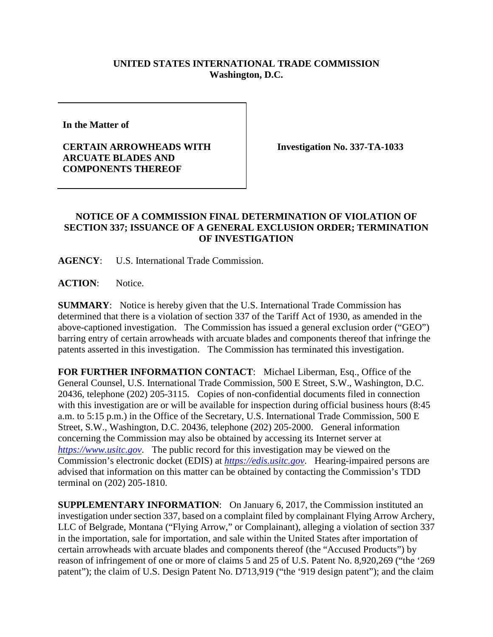## **UNITED STATES INTERNATIONAL TRADE COMMISSION Washington, D.C.**

**In the Matter of** 

## **CERTAIN ARROWHEADS WITH ARCUATE BLADES AND COMPONENTS THEREOF**

**Investigation No. 337-TA-1033**

## **NOTICE OF A COMMISSION FINAL DETERMINATION OF VIOLATION OF SECTION 337; ISSUANCE OF A GENERAL EXCLUSION ORDER; TERMINATION OF INVESTIGATION**

**AGENCY**: U.S. International Trade Commission.

ACTION: Notice.

**SUMMARY**: Notice is hereby given that the U.S. International Trade Commission has determined that there is a violation of section 337 of the Tariff Act of 1930, as amended in the above-captioned investigation. The Commission has issued a general exclusion order ("GEO") barring entry of certain arrowheads with arcuate blades and components thereof that infringe the patents asserted in this investigation. The Commission has terminated this investigation.

**FOR FURTHER INFORMATION CONTACT**: Michael Liberman, Esq., Office of the General Counsel, U.S. International Trade Commission, 500 E Street, S.W., Washington, D.C. 20436, telephone (202) 205-3115. Copies of non-confidential documents filed in connection with this investigation are or will be available for inspection during official business hours (8:45 a.m. to 5:15 p.m.) in the Office of the Secretary, U.S. International Trade Commission, 500 E Street, S.W., Washington, D.C. 20436, telephone (202) 205-2000. General information concerning the Commission may also be obtained by accessing its Internet server at *[https://www.usitc.gov](https://www.usitc.gov/)*. The public record for this investigation may be viewed on the Commission's electronic docket (EDIS) at *[https://edis.usitc.gov](https://edis.usitc.gov/)*. Hearing-impaired persons are advised that information on this matter can be obtained by contacting the Commission's TDD terminal on (202) 205-1810.

**SUPPLEMENTARY INFORMATION**: On January 6, 2017, the Commission instituted an investigation under section 337, based on a complaint filed by complainant Flying Arrow Archery, LLC of Belgrade, Montana ("Flying Arrow," or Complainant), alleging a violation of section 337 in the importation, sale for importation, and sale within the United States after importation of certain arrowheads with arcuate blades and components thereof (the "Accused Products") by reason of infringement of one or more of claims 5 and 25 of U.S. Patent No. 8,920,269 ("the '269 patent"); the claim of U.S. Design Patent No. D713,919 ("the '919 design patent"); and the claim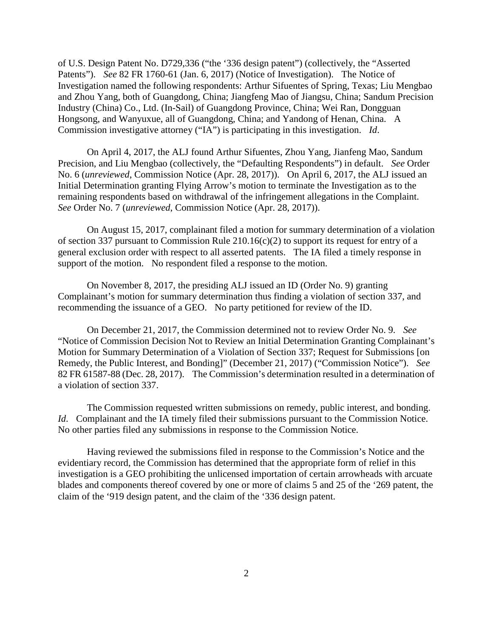of U.S. Design Patent No. D729,336 ("the '336 design patent") (collectively, the "Asserted Patents"). *See* 82 FR 1760-61 (Jan. 6, 2017) (Notice of Investigation). The Notice of Investigation named the following respondents: Arthur Sifuentes of Spring, Texas; Liu Mengbao and Zhou Yang, both of Guangdong, China; Jiangfeng Mao of Jiangsu, China; Sandum Precision Industry (China) Co., Ltd. (In-Sail) of Guangdong Province, China; Wei Ran, Dongguan Hongsong, and Wanyuxue, all of Guangdong, China; and Yandong of Henan, China. A Commission investigative attorney ("IA") is participating in this investigation. *Id*.

On April 4, 2017, the ALJ found Arthur Sifuentes, Zhou Yang, Jianfeng Mao, Sandum Precision, and Liu Mengbao (collectively, the "Defaulting Respondents") in default. *See* Order No. 6 (*unreviewed*, Commission Notice (Apr. 28, 2017)). On April 6, 2017, the ALJ issued an Initial Determination granting Flying Arrow's motion to terminate the Investigation as to the remaining respondents based on withdrawal of the infringement allegations in the Complaint. *See* Order No. 7 (*unreviewed*, Commission Notice (Apr. 28, 2017)).

On August 15, 2017, complainant filed a motion for summary determination of a violation of section 337 pursuant to Commission Rule 210.16(c)(2) to support its request for entry of a general exclusion order with respect to all asserted patents. The IA filed a timely response in support of the motion. No respondent filed a response to the motion.

On November 8, 2017, the presiding ALJ issued an ID (Order No. 9) granting Complainant's motion for summary determination thus finding a violation of section 337, and recommending the issuance of a GEO. No party petitioned for review of the ID.

On December 21, 2017, the Commission determined not to review Order No. 9. *See* "Notice of Commission Decision Not to Review an Initial Determination Granting Complainant's Motion for Summary Determination of a Violation of Section 337; Request for Submissions [on Remedy, the Public Interest, and Bonding]" (December 21, 2017) ("Commission Notice"). *See* 82 FR 61587-88 (Dec. 28, 2017). The Commission's determination resulted in a determination of a violation of section 337.

The Commission requested written submissions on remedy, public interest, and bonding. *Id*. Complainant and the IA timely filed their submissions pursuant to the Commission Notice. No other parties filed any submissions in response to the Commission Notice.

Having reviewed the submissions filed in response to the Commission's Notice and the evidentiary record, the Commission has determined that the appropriate form of relief in this investigation is a GEO prohibiting the unlicensed importation of certain arrowheads with arcuate blades and components thereof covered by one or more of claims 5 and 25 of the '269 patent, the claim of the '919 design patent, and the claim of the '336 design patent.